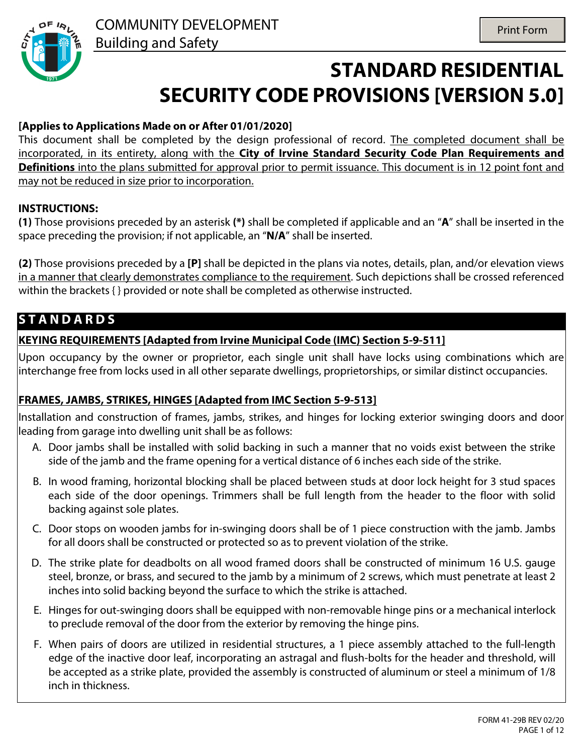

# **STANDARD RESIDENTIAL SECURITY CODE PROVISIONS [VERSION 5.0]**

#### **[Applies to Applications Made on or After 01/01/2020]**

This document shall be completed by the design professional of record. The completed document shall be incorporated, in its entirety, along with the **City of Irvine Standard Security Code Plan Requirements and Definitions** into the plans submitted for approval prior to permit issuance. This document is in 12 point font and may not be reduced in size prior to incorporation.

#### **INSTRUCTIONS:**

**(1)** Those provisions preceded by an asterisk **(\*)** shall be completed if applicable and an "**A**" shall be inserted in the space preceding the provision; if not applicable, an "**N/A**" shall be inserted.

**(2)** Those provisions preceded by a **[P]** shall be depicted in the plans via notes, details, plan, and/or elevation views in a manner that clearly demonstrates compliance to the requirement. Such depictions shall be crossed referenced within the brackets { } provided or note shall be completed as otherwise instructed.

# **S T A N D A R D S**

#### **KEYING REQUIREMENTS [Adapted from Irvine Municipal Code (IMC) Section 5-9-511]**

Upon occupancy by the owner or proprietor, each single unit shall have locks using combinations which are interchange free from locks used in all other separate dwellings, proprietorships, or similar distinct occupancies.

#### **FRAMES, JAMBS, STRIKES, HINGES [Adapted from IMC Section 5-9-513]**

Installation and construction of frames, jambs, strikes, and hinges for locking exterior swinging doors and door leading from garage into dwelling unit shall be as follows:

- A. Door jambs shall be installed with solid backing in such a manner that no voids exist between the strike side of the jamb and the frame opening for a vertical distance of 6 inches each side of the strike.
- B. In wood framing, horizontal blocking shall be placed between studs at door lock height for 3 stud spaces each side of the door openings. Trimmers shall be full length from the header to the floor with solid backing against sole plates.
- C. Door stops on wooden jambs for in-swinging doors shall be of 1 piece construction with the jamb. Jambs for all doors shall be constructed or protected so as to prevent violation of the strike.
- D. The strike plate for deadbolts on all wood framed doors shall be constructed of minimum 16 U.S. gauge steel, bronze, or brass, and secured to the jamb by a minimum of 2 screws, which must penetrate at least 2 inches into solid backing beyond the surface to which the strike is attached.
- E. Hinges for out-swinging doors shall be equipped with non-removable hinge pins or a mechanical interlock to preclude removal of the door from the exterior by removing the hinge pins.
- F. When pairs of doors are utilized in residential structures, a 1 piece assembly attached to the full-length edge of the inactive door leaf, incorporating an astragal and flush-bolts for the header and threshold, will be accepted as a strike plate, provided the assembly is constructed of aluminum or steel a minimum of 1/8 inch in thickness.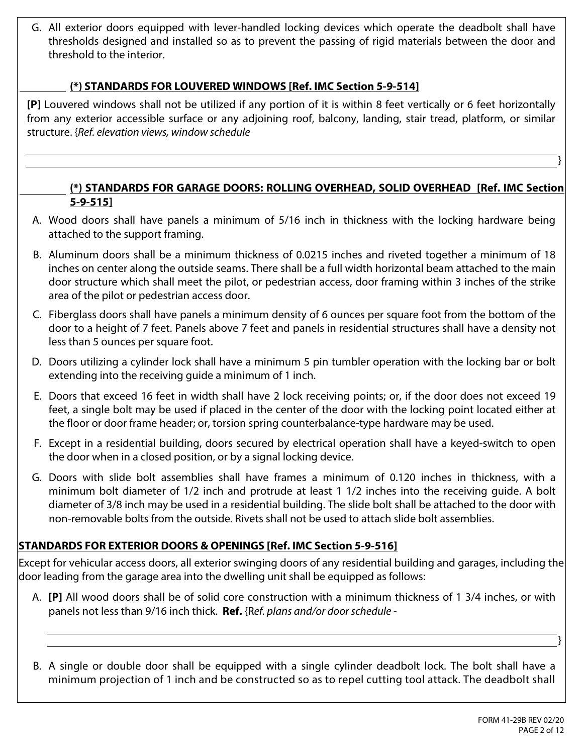G. All exterior doors equipped with lever-handled locking devices which operate the deadbolt shall have thresholds designed and installed so as to prevent the passing of rigid materials between the door and threshold to the interior.

#### $\boxed{\blacksquare}$  (\*) STANDARDS FOR LOUVERED WINDOWS [Ref. IMC Section 5-9-514]

**[P]** Louvered windows shall not be utilized if any portion of it is within 8 feet vertically or 6 feet horizontally from any exterior accessible surface or any adjoining roof, balcony, landing, stair tread, platform, or similar structure. {*Ref. elevation views, window schedule*

#### **(\*) STANDARDS FOR GARAGE DOORS: ROLLING OVERHEAD, SOLID OVERHEAD [Ref. IMC Section 5-9-515]**

- A. Wood doors shall have panels a minimum of 5/16 inch in thickness with the locking hardware being attached to the support framing.
- B. Aluminum doors shall be a minimum thickness of 0.0215 inches and riveted together a minimum of 18 inches on center along the outside seams. There shall be a full width horizontal beam attached to the main door structure which shall meet the pilot, or pedestrian access, door framing within 3 inches of the strike area of the pilot or pedestrian access door.
- C. Fiberglass doors shall have panels a minimum density of 6 ounces per square foot from the bottom of the door to a height of 7 feet. Panels above 7 feet and panels in residential structures shall have a density not less than 5 ounces per square foot.
- D. Doors utilizing a cylinder lock shall have a minimum 5 pin tumbler operation with the locking bar or bolt extending into the receiving guide a minimum of 1 inch.
- E. Doors that exceed 16 feet in width shall have 2 lock receiving points; or, if the door does not exceed 19 feet, a single bolt may be used if placed in the center of the door with the locking point located either at the floor or door frame header; or, torsion spring counterbalance-type hardware may be used.
- F. Except in a residential building, doors secured by electrical operation shall have a keyed-switch to open the door when in a closed position, or by a signal locking device.
- G. Doors with slide bolt assemblies shall have frames a minimum of 0.120 inches in thickness, with a minimum bolt diameter of 1/2 inch and protrude at least 1 1/2 inches into the receiving guide. A bolt diameter of 3/8 inch may be used in a residential building. The slide bolt shall be attached to the door with non-removable bolts from the outside. Rivets shall not be used to attach slide bolt assemblies.

#### **STANDARDS FOR EXTERIOR DOORS & OPENINGS [Ref. IMC Section 5-9-516]**

Except for vehicular access doors, all exterior swinging doors of any residential building and garages, including the door leading from the garage area into the dwelling unit shall be equipped as follows:

- A. **[P]** All wood doors shall be of solid core construction with a minimum thickness of 1 3/4 inches, or with panels not less than 9/16 inch thick. **Ref.** {R*ef. plans and/or door schedule -*
- B. A single or double door shall be equipped with a single cylinder deadbolt lock. The bolt shall have a minimum projection of 1 inch and be constructed so as to repel cutting tool attack. The deadbolt shall

}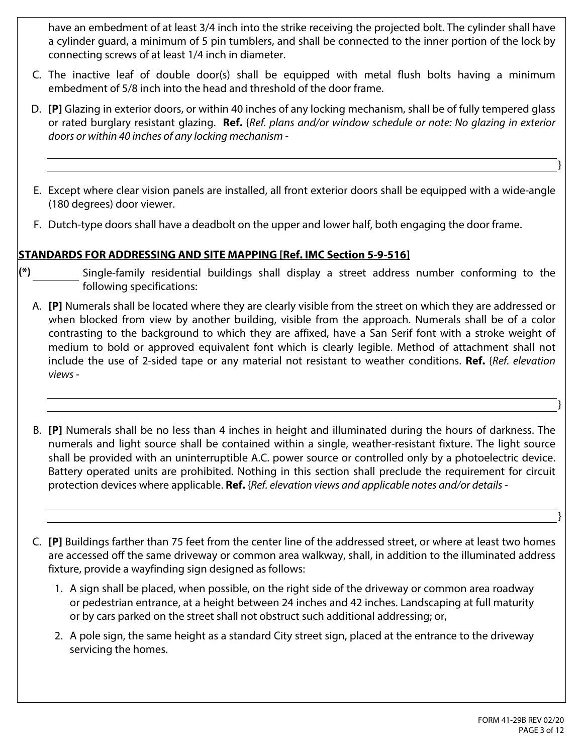have an embedment of at least 3/4 inch into the strike receiving the projected bolt. The cylinder shall have a cylinder guard, a minimum of 5 pin tumblers, and shall be connected to the inner portion of the lock by connecting screws of at least 1/4 inch in diameter.

- C. The inactive leaf of double door(s) shall be equipped with metal flush bolts having a minimum embedment of 5/8 inch into the head and threshold of the door frame.
- D. **[P]** Glazing in exterior doors, or within 40 inches of any locking mechanism, shall be of fully tempered glass or rated burglary resistant glazing. **Ref.** {*Ref. plans and/or window schedule or note: No glazing in exterior doors or within 40 inches of any locking mechanism -*
- E. Except where clear vision panels are installed, all front exterior doors shall be equipped with a wide-angle (180 degrees) door viewer.
- F. Dutch-type doors shall have a deadbolt on the upper and lower half, both engaging the door frame.

### **STANDARDS FOR ADDRESSING AND SITE MAPPING [Ref. IMC Section 5-9-516]**

- **(\*)** Single-family residential buildings shall display a street address number conforming to the following specifications:
	- A. **[P]** Numerals shall be located where they are clearly visible from the street on which they are addressed or when blocked from view by another building, visible from the approach. Numerals shall be of a color contrasting to the background to which they are affixed, have a San Serif font with a stroke weight of medium to bold or approved equivalent font which is clearly legible. Method of attachment shall not include the use of 2-sided tape or any material not resistant to weather conditions. **Ref.** {*Ref. elevation views -*
	- B. **[P]** Numerals shall be no less than 4 inches in height and illuminated during the hours of darkness. The numerals and light source shall be contained within a single, weather-resistant fixture. The light source shall be provided with an uninterruptible A.C. power source or controlled only by a photoelectric device. Battery operated units are prohibited. Nothing in this section shall preclude the requirement for circuit protection devices where applicable. **Ref.** {*Ref. elevation views and applicable notes and/or details -*
	- C. **[P]** Buildings farther than 75 feet from the center line of the addressed street, or where at least two homes are accessed off the same driveway or common area walkway, shall, in addition to the illuminated address fixture, provide a wayfinding sign designed as follows:
		- 1. A sign shall be placed, when possible, on the right side of the driveway or common area roadway or pedestrian entrance, at a height between 24 inches and 42 inches. Landscaping at full maturity or by cars parked on the street shall not obstruct such additional addressing; or,
		- 2. A pole sign, the same height as a standard City street sign, placed at the entrance to the driveway servicing the homes.

}

}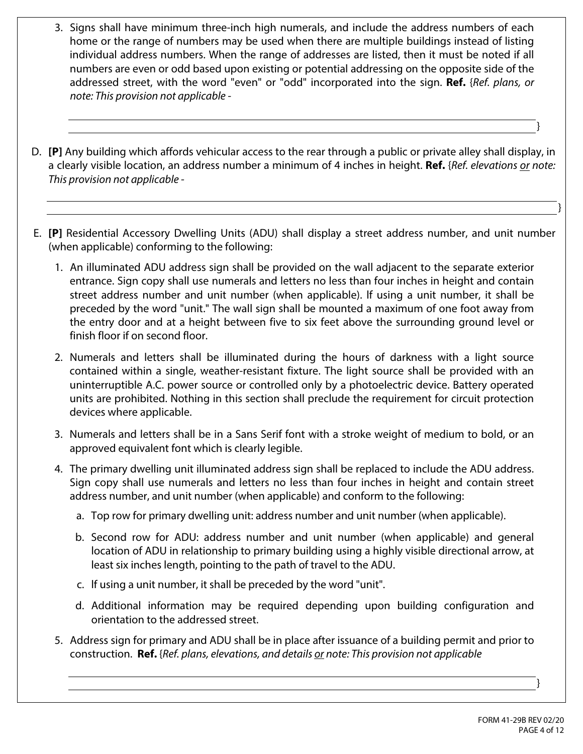- 3. Signs shall have minimum three-inch high numerals, and include the address numbers of each home or the range of numbers may be used when there are multiple buildings instead of listing individual address numbers. When the range of addresses are listed, then it must be noted if all numbers are even or odd based upon existing or potential addressing on the opposite side of the addressed street, with the word "even" or "odd" incorporated into the sign. **Ref.** {*Ref. plans, or note: This provision not applicable -*
- D. **[P]** Any building which affords vehicular access to the rear through a public or private alley shall display, in a clearly visible location, an address number a minimum of 4 inches in height. **Ref.** {*Ref. elevations or note: This provision not applicable -*
- E. **[P]** Residential Accessory Dwelling Units (ADU) shall display a street address number, and unit number (when applicable) conforming to the following:
	- 1. An illuminated ADU address sign shall be provided on the wall adjacent to the separate exterior entrance. Sign copy shall use numerals and letters no less than four inches in height and contain street address number and unit number (when applicable). lf using a unit number, it shall be preceded by the word "unit." The wall sign shall be mounted a maximum of one foot away from the entry door and at a height between five to six feet above the surrounding ground level or finish floor if on second floor.
	- 2. Numerals and letters shall be illuminated during the hours of darkness with a light source contained within a single, weather-resistant fixture. The light source shall be provided with an uninterruptible A.C. power source or controlled only by a photoelectric device. Battery operated units are prohibited. Nothing in this section shall preclude the requirement for circuit protection devices where applicable.
	- 3. Numerals and letters shall be in a Sans Serif font with a stroke weight of medium to bold, or an approved equivalent font which is clearly legible.
	- 4. The primary dwelling unit illuminated address sign shall be replaced to include the ADU address. Sign copy shall use numerals and letters no less than four inches in height and contain street address number, and unit number (when applicable) and conform to the following:
		- a. Top row for primary dwelling unit: address number and unit number (when applicable).
		- b. Second row for ADU: address number and unit number (when applicable) and general location of ADU in relationship to primary building using a highly visible directional arrow, at least six inches length, pointing to the path of travel to the ADU.
		- c. lf using a unit number, it shall be preceded by the word "unit".
		- d. Additional information may be required depending upon building configuration and orientation to the addressed street.
	- 5. Address sign for primary and ADU shall be in place after issuance of a building permit and prior to construction. **Ref.** {*Ref. plans, elevations, and details or note: This provision not applicable*

}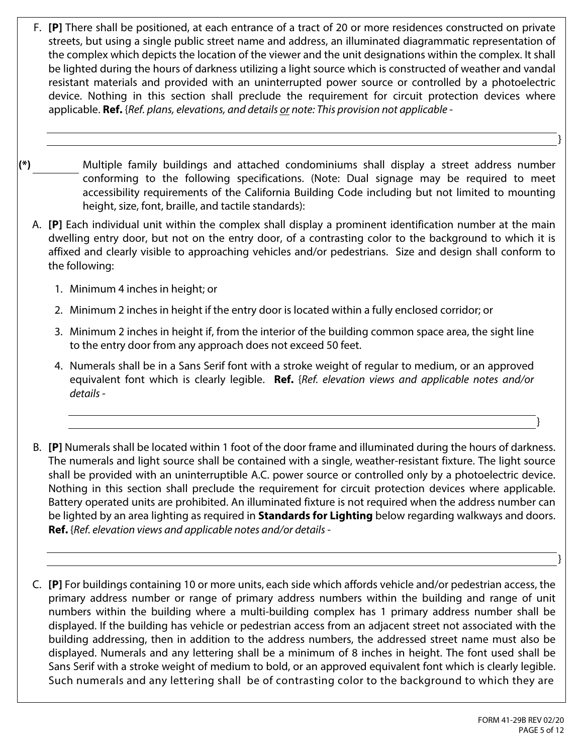- F. **[P]** There shall be positioned, at each entrance of a tract of 20 or more residences constructed on private streets, but using a single public street name and address, an illuminated diagrammatic representation of the complex which depicts the location of the viewer and the unit designations within the complex. It shall be lighted during the hours of darkness utilizing a light source which is constructed of weather and vandal resistant materials and provided with an uninterrupted power source or controlled by a photoelectric device. Nothing in this section shall preclude the requirement for circuit protection devices where applicable. **Ref.** {*Ref. plans, elevations, and details or note: This provision not applicable -*
- **(\*)** Multiple family buildings and attached condominiums shall display a street address number conforming to the following specifications. (Note: Dual signage may be required to meet accessibility requirements of the California Building Code including but not limited to mounting height, size, font, braille, and tactile standards):
	- A. **[P]** Each individual unit within the complex shall display a prominent identification number at the main dwelling entry door, but not on the entry door, of a contrasting color to the background to which it is affixed and clearly visible to approaching vehicles and/or pedestrians. Size and design shall conform to the following:
		- 1. Minimum 4 inches in height; or
		- 2. Minimum 2 inches in height if the entry door is located within a fully enclosed corridor; or
		- 3. Minimum 2 inches in height if, from the interior of the building common space area, the sight line to the entry door from any approach does not exceed 50 feet.
		- 4. Numerals shall be in a Sans Serif font with a stroke weight of regular to medium, or an approved equivalent font which is clearly legible. **Ref.** {*Ref. elevation views and applicable notes and/or details -*
	- B. **[P]** Numerals shall be located within 1 foot of the door frame and illuminated during the hours of darkness. The numerals and light source shall be contained with a single, weather-resistant fixture. The light source shall be provided with an uninterruptible A.C. power source or controlled only by a photoelectric device. Nothing in this section shall preclude the requirement for circuit protection devices where applicable. Battery operated units are prohibited. An illuminated fixture is not required when the address number can be lighted by an area lighting as required in **Standards for Lighting** below regarding walkways and doors. **Ref.** {*Ref. elevation views and applicable notes and/or details -*
	- C. **[P]** For buildings containing 10 or more units, each side which affords vehicle and/or pedestrian access, the primary address number or range of primary address numbers within the building and range of unit numbers within the building where a multi-building complex has 1 primary address number shall be displayed. If the building has vehicle or pedestrian access from an adjacent street not associated with the building addressing, then in addition to the address numbers, the addressed street name must also be displayed. Numerals and any lettering shall be a minimum of 8 inches in height. The font used shall be Sans Serif with a stroke weight of medium to bold, or an approved equivalent font which is clearly legible. Such numerals and any lettering shall be of contrasting color to the background to which they are

}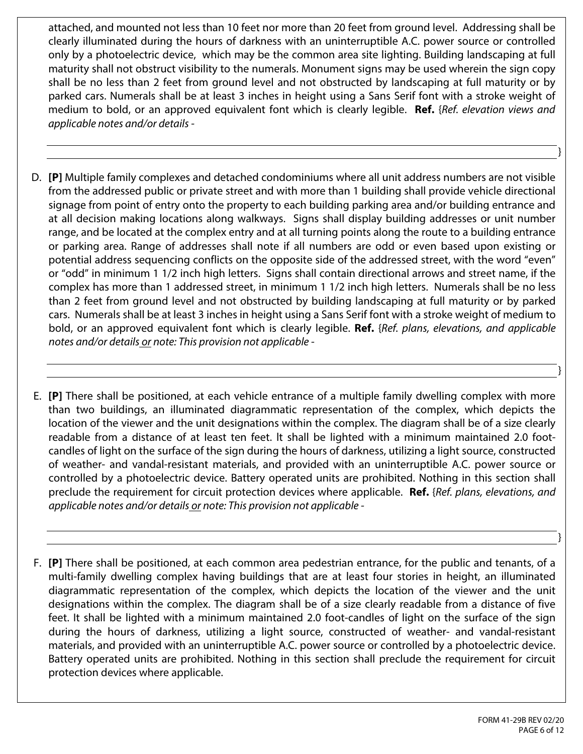attached, and mounted not less than 10 feet nor more than 20 feet from ground level. Addressing shall be clearly illuminated during the hours of darkness with an uninterruptible A.C. power source or controlled only by a photoelectric device, which may be the common area site lighting. Building landscaping at full maturity shall not obstruct visibility to the numerals. Monument signs may be used wherein the sign copy shall be no less than 2 feet from ground level and not obstructed by landscaping at full maturity or by parked cars. Numerals shall be at least 3 inches in height using a Sans Serif font with a stroke weight of medium to bold, or an approved equivalent font which is clearly legible. **Ref.** {*Ref. elevation views and applicable notes and/or details -* 

- D. **[P]** Multiple family complexes and detached condominiums where all unit address numbers are not visible from the addressed public or private street and with more than 1 building shall provide vehicle directional signage from point of entry onto the property to each building parking area and/or building entrance and at all decision making locations along walkways. Signs shall display building addresses or unit number range, and be located at the complex entry and at all turning points along the route to a building entrance or parking area. Range of addresses shall note if all numbers are odd or even based upon existing or potential address sequencing conflicts on the opposite side of the addressed street, with the word "even" or "odd" in minimum 1 1/2 inch high letters. Signs shall contain directional arrows and street name, if the complex has more than 1 addressed street, in minimum 1 1/2 inch high letters. Numerals shall be no less than 2 feet from ground level and not obstructed by building landscaping at full maturity or by parked cars. Numerals shall be at least 3 inches in height using a Sans Serif font with a stroke weight of medium to bold, or an approved equivalent font which is clearly legible. **Ref.** {*Ref. plans, elevations, and applicable notes and/or details or note: This provision not applicable -*
- E. **[P]** There shall be positioned, at each vehicle entrance of a multiple family dwelling complex with more than two buildings, an illuminated diagrammatic representation of the complex, which depicts the location of the viewer and the unit designations within the complex. The diagram shall be of a size clearly readable from a distance of at least ten feet. lt shall be lighted with a minimum maintained 2.0 footcandles of light on the surface of the sign during the hours of darkness, utilizing a light source, constructed of weather- and vandal-resistant materials, and provided with an uninterruptible A.C. power source or controlled by a photoelectric device. Battery operated units are prohibited. Nothing in this section shall preclude the requirement for circuit protection devices where applicable. **Ref.** {*Ref. plans, elevations, and applicable notes and/or details or note: This provision not applicable -*
- F. **[P]** There shall be positioned, at each common area pedestrian entrance, for the public and tenants, of a multi-family dwelling complex having buildings that are at least four stories in height, an illuminated diagrammatic representation of the complex, which depicts the location of the viewer and the unit designations within the complex. The diagram shall be of a size clearly readable from a distance of five feet. It shall be lighted with a minimum maintained 2.0 foot-candles of light on the surface of the sign during the hours of darkness, utilizing a light source, constructed of weather- and vandal-resistant materials, and provided with an uninterruptible A.C. power source or controlled by a photoelectric device. Battery operated units are prohibited. Nothing in this section shall preclude the requirement for circuit protection devices where applicable.

}

}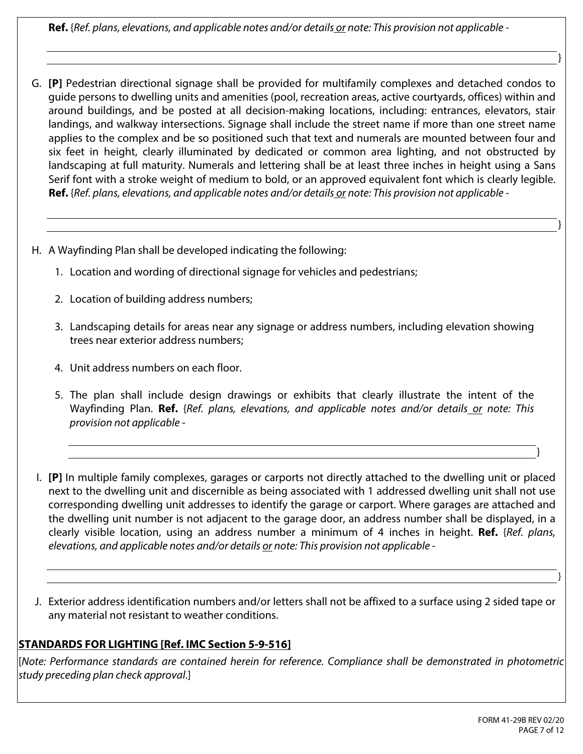**Ref.** {*Ref. plans, elevations, and applicable notes and/or details or note: This provision not applicable -* 

- **[P]** Pedestrian directional signage shall be provided for multifamily complexes and detached condos to G. guide persons to dwelling units and amenities (pool, recreation areas, active courtyards, offices) within and around buildings, and be posted at all decision-making locations, including: entrances, elevators, stair landings, and walkway intersections. Signage shall include the street name if more than one street name applies to the complex and be so positioned such that text and numerals are mounted between four and six feet in height, clearly illuminated by dedicated or common area lighting, and not obstructed by landscaping at full maturity. Numerals and lettering shall be at least three inches in height using a Sans Serif font with a stroke weight of medium to bold, or an approved equivalent font which is clearly legible. **Ref.** {*Ref. plans, elevations, and applicable notes and/or details or note: This provision not applicable -*
- H. A Wayfinding Plan shall be developed indicating the following:
	- 1. Location and wording of directional signage for vehicles and pedestrians;
	- 2. Location of building address numbers;
	- 3. Landscaping details for areas near any signage or address numbers, including elevation showing trees near exterior address numbers;
	- 4. Unit address numbers on each floor.
	- 5. The plan shall include design drawings or exhibits that clearly illustrate the intent of the Wayfinding Plan. **Ref.** {*Ref. plans, elevations, and applicable notes and/or details or note: This provision not applicable -*
	- **[P]** In multiple family complexes, garages or carports not directly attached to the dwelling unit or placed I. next to the dwelling unit and discernible as being associated with 1 addressed dwelling unit shall not use corresponding dwelling unit addresses to identify the garage or carport. Where garages are attached and the dwelling unit number is not adjacent to the garage door, an address number shall be displayed, in a clearly visible location, using an address number a minimum of 4 inches in height. **Ref.** {*Ref. plans, elevations, and applicable notes and/or details or note: This provision not applicable -*
- J. Exterior address identification numbers and/or letters shall not be affixed to a surface using 2 sided tape or any material not resistant to weather conditions.

# **STANDARDS FOR LIGHTING [Ref. IMC Section 5-9-516]**

[*Note: Performance standards are contained herein for reference. Compliance shall be demonstrated in photometric study preceding plan check approval*.]

}

}

}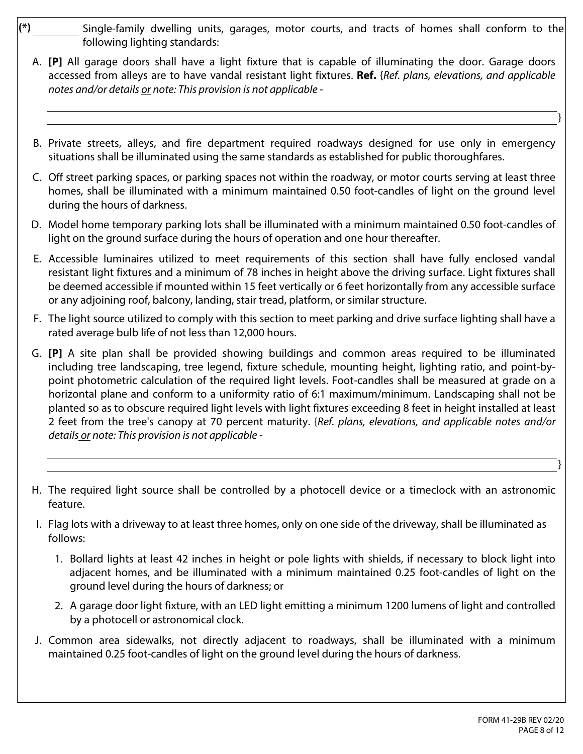- **(\*)** Single-family dwelling units, garages, motor courts, and tracts of homes shall conform to the following lighting standards:
	- A. **[P]** All garage doors shall have a light fixture that is capable of illuminating the door. Garage doors accessed from alleys are to have vandal resistant light fixtures. **Ref.** {*Ref. plans, elevations, and applicable notes and/or details or note: This provision is not applicable -*
	- B. Private streets, alleys, and fire department required roadways designed for use only in emergency situations shall be illuminated using the same standards as established for public thoroughfares.
	- C. Off street parking spaces, or parking spaces not within the roadway, or motor courts serving at least three homes, shall be illuminated with a minimum maintained 0.50 foot-candles of light on the ground level during the hours of darkness.
	- D. Model home temporary parking lots shall be illuminated with a minimum maintained 0.50 foot-candles of light on the ground surface during the hours of operation and one hour thereafter.
	- E. Accessible luminaires utilized to meet requirements of this section shall have fully enclosed vandal resistant light fixtures and a minimum of 78 inches in height above the driving surface. Light fixtures shall be deemed accessible if mounted within 15 feet vertically or 6 feet horizontally from any accessible surface or any adjoining roof, balcony, landing, stair tread, platform, or similar structure.
	- F. The light source utilized to comply with this section to meet parking and drive surface lighting shall have a rated average bulb life of not less than 12,000 hours.
	- G. **[P]** A site plan shall be provided showing buildings and common areas required to be illuminated including tree landscaping, tree legend, fixture schedule, mounting height, lighting ratio, and point-bypoint photometric calculation of the required light levels. Foot-candles shall be measured at grade on a horizontal plane and conform to a uniformity ratio of 6:1 maximum/minimum. Landscaping shall not be planted so as to obscure required light levels with light fixtures exceeding 8 feet in height installed at least 2 feet from the tree's canopy at 70 percent maturity. {*Ref. plans, elevations, and applicable notes and/or details or note: This provision is not applicable -*
	- H. The required light source shall be controlled by a photocell device or a timeclock with an astronomic feature.
	- I. Flag lots with a driveway to at least three homes, only on one side of the driveway, shall be illuminated as follows:
		- 1. Bollard lights at least 42 inches in height or pole lights with shields, if necessary to block light into adjacent homes, and be illuminated with a minimum maintained 0.25 foot-candles of light on the ground level during the hours of darkness; or
		- 2. A garage door light fixture, with an LED light emitting a minimum 1200 lumens of light and controlled by a photocell or astronomical clock.
	- J. Common area sidewalks, not directly adjacent to roadways, shall be illuminated with a minimum maintained 0.25 foot-candles of light on the ground level during the hours of darkness.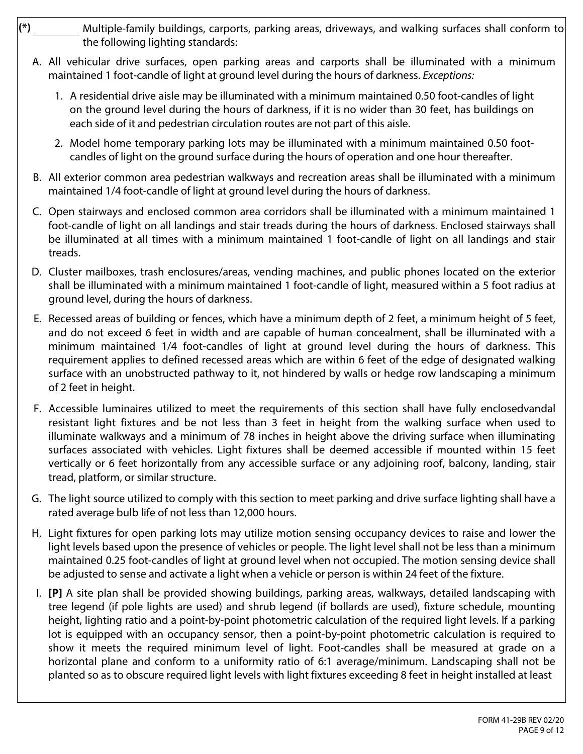- **(\*)** Multiple-family buildings, carports, parking areas, driveways, and walking surfaces shall conform to the following lighting standards:
	- A. All vehicular drive surfaces, open parking areas and carports shall be illuminated with a minimum maintained 1 foot-candle of light at ground level during the hours of darkness. *Exceptions:* 
		- 1. A residential drive aisle may be illuminated with a minimum maintained 0.50 foot-candles of light on the ground level during the hours of darkness, if it is no wider than 30 feet, has buildings on each side of it and pedestrian circulation routes are not part of this aisle.
		- 2. Model home temporary parking lots may be illuminated with a minimum maintained 0.50 footcandles of light on the ground surface during the hours of operation and one hour thereafter.
	- B. All exterior common area pedestrian walkways and recreation areas shall be illuminated with a minimum maintained 1/4 foot-candle of light at ground level during the hours of darkness.
	- C. Open stairways and enclosed common area corridors shall be illuminated with a minimum maintained 1 foot-candle of light on all landings and stair treads during the hours of darkness. Enclosed stairways shall be illuminated at all times with a minimum maintained 1 foot-candle of light on all landings and stair treads.
	- D. Cluster mailboxes, trash enclosures/areas, vending machines, and public phones located on the exterior shall be illuminated with a minimum maintained 1 foot-candle of light, measured within a 5 foot radius at ground level, during the hours of darkness.
	- E. Recessed areas of building or fences, which have a minimum depth of 2 feet, a minimum height of 5 feet, and do not exceed 6 feet in width and are capable of human concealment, shall be illuminated with a minimum maintained 1/4 foot-candles of light at ground level during the hours of darkness. This requirement applies to defined recessed areas which are within 6 feet of the edge of designated walking surface with an unobstructed pathway to it, not hindered by walls or hedge row landscaping a minimum of 2 feet in height.
	- F. Accessible luminaires utilized to meet the requirements of this section shall have fully enclosedvandal resistant light fixtures and be not less than 3 feet in height from the walking surface when used to illuminate walkways and a minimum of 78 inches in height above the driving surface when illuminating surfaces associated with vehicles. Light fixtures shall be deemed accessible if mounted within 15 feet vertically or 6 feet horizontally from any accessible surface or any adjoining roof, balcony, landing, stair tread, platform, or similar structure.
	- G. The light source utilized to comply with this section to meet parking and drive surface lighting shall have a rated average bulb life of not less than 12,000 hours.
	- H. Light fixtures for open parking lots may utilize motion sensing occupancy devices to raise and lower the light levels based upon the presence of vehicles or people. The light level shall not be less than a minimum maintained 0.25 foot-candles of light at ground level when not occupied. The motion sensing device shall be adjusted to sense and activate a light when a vehicle or person is within 24 feet of the fixture.
	- I. **[P]** A site plan shall be provided showing buildings, parking areas, walkways, detailed landscaping with tree legend (if pole lights are used) and shrub legend (if bollards are used), fixture schedule, mounting height, lighting ratio and a point-by-point photometric calculation of the required light levels. lf a parking lot is equipped with an occupancy sensor, then a point-by-point photometric calculation is required to show it meets the required minimum level of light. Foot-candles shall be measured at grade on a horizontal plane and conform to a uniformity ratio of 6:1 average/minimum. Landscaping shall not be planted so as to obscure required light levels with light fixtures exceeding 8 feet in height installed at least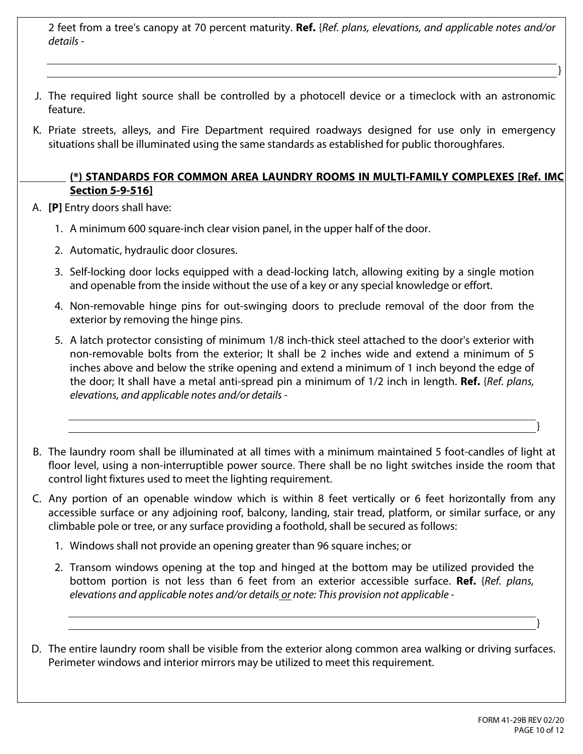2 feet from a tree's canopy at 70 percent maturity. **Ref.** {*Ref. plans, elevations, and applicable notes and/or details -* 

- J. The required light source shall be controlled by a photocell device or a timeclock with an astronomic feature.
- K. Priate streets, alleys, and Fire Department required roadways designed for use only in emergency situations shall be illuminated using the same standards as established for public thoroughfares.

#### **(\*) STANDARDS FOR COMMON AREA LAUNDRY ROOMS IN MULTI-FAMILY COMPLEXES [Ref. IMC Section 5-9-516]**

A. **[P]** Entry doors shall have:

- 1. A minimum 600 square-inch clear vision panel, in the upper half of the door.
- 2. Automatic, hydraulic door closures.
- 3. Self-locking door locks equipped with a dead-locking latch, allowing exiting by a single motion and openable from the inside without the use of a key or any special knowledge or effort.
- 4. Non-removable hinge pins for out-swinging doors to preclude removal of the door from the exterior by removing the hinge pins.
- 5. A latch protector consisting of minimum 1/8 inch-thick steel attached to the door's exterior with non-removable bolts from the exterior; It shall be 2 inches wide and extend a minimum of 5 inches above and below the strike opening and extend a minimum of 1 inch beyond the edge of the door; It shall have a metal anti-spread pin a minimum of 1/2 inch in length. **Ref.** {*Ref. plans, elevations, and applicable notes and/or details -*
- The laundry room shall be illuminated at all times with a minimum maintained 5 foot-candles of light at B. floor level, using a non-interruptible power source. There shall be no light switches inside the room that control light fixtures used to meet the lighting requirement.
- C. Any portion of an openable window which is within 8 feet vertically or 6 feet horizontally from any accessible surface or any adjoining roof, balcony, landing, stair tread, platform, or similar surface, or any climbable pole or tree, or any surface providing a foothold, shall be secured as follows:
	- 1. Windows shall not provide an opening greater than 96 square inches; or
	- 2. Transom windows opening at the top and hinged at the bottom may be utilized provided the bottom portion is not less than 6 feet from an exterior accessible surface. **Ref.** {*Ref. plans, elevations and applicable notes and/or details or note: This provision not applicable -*
- D. The entire laundry room shall be visible from the exterior along common area walking or driving surfaces. Perimeter windows and interior mirrors may be utilized to meet this requirement.

}

}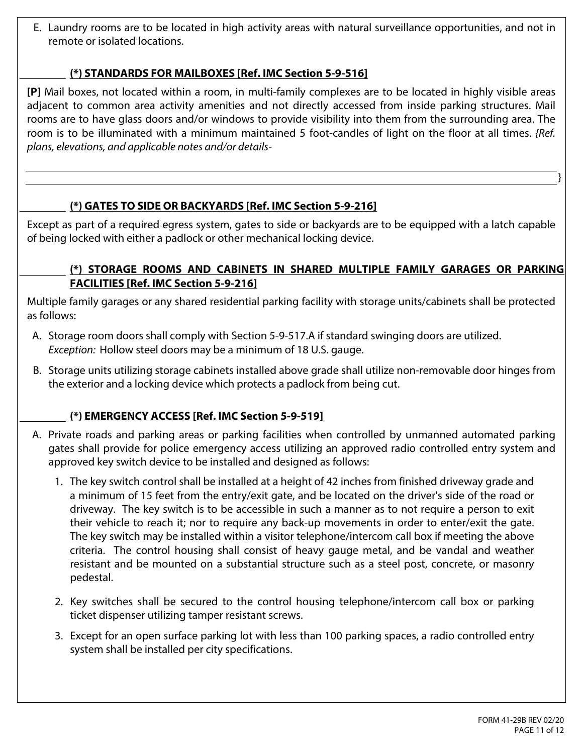E. Laundry rooms are to be located in high activity areas with natural surveillance opportunities, and not in remote or isolated locations.

#### **(\*) STANDARDS FOR MAILBOXES [Ref. IMC Section 5-9-516]**

**[P]** Mail boxes, not located within a room, in multi-family complexes are to be located in highly visible areas adjacent to common area activity amenities and not directly accessed from inside parking structures. Mail rooms are to have glass doors and/or windows to provide visibility into them from the surrounding area. The room is to be illuminated with a minimum maintained 5 foot-candles of light on the floor at all times. *{Ref. plans, elevations, and applicable notes and/or details-* 

## **(\*) GATES TO SIDE OR BACKYARDS [Ref. IMC Section 5-9-216]**

Except as part of a required egress system, gates to side or backyards are to be equipped with a latch capable of being locked with either a padlock or other mechanical locking device.

#### **TE (\*) STORAGE ROOMS AND CABINETS IN SHARED MULTIPLE FAMILY GARAGES OR PARKING FACILITIES [Ref. IMC Section 5-9-216]**

Multiple family garages or any shared residential parking facility with storage units/cabinets shall be protected as follows:

- A. Storage room doors shall comply with Section 5-9-517.A if standard swinging doors are utilized. *Exception:* Hollow steel doors may be a minimum of 18 U.S. gauge.
- B. Storage units utilizing storage cabinets installed above grade shall utilize non-removable door hinges from the exterior and a locking device which protects a padlock from being cut.

## **(\*) EMERGENCY ACCESS [Ref. IMC Section 5-9-519]**

- A. Private roads and parking areas or parking facilities when controlled by unmanned automated parking gates shall provide for police emergency access utilizing an approved radio controlled entry system and approved key switch device to be installed and designed as follows:
	- 1. The key switch control shall be installed at a height of 42 inches from finished driveway grade and a minimum of 15 feet from the entry/exit gate, and be located on the driver's side of the road or driveway. The key switch is to be accessible in such a manner as to not require a person to exit their vehicle to reach it; nor to require any back-up movements in order to enter/exit the gate. The key switch may be installed within a visitor telephone/intercom call box if meeting the above criteria. The control housing shall consist of heavy gauge metal, and be vandal and weather resistant and be mounted on a substantial structure such as a steel post, concrete, or masonry pedestal.
	- 2. Key switches shall be secured to the control housing telephone/intercom call box or parking ticket dispenser utilizing tamper resistant screws.
	- 3. Except for an open surface parking lot with less than 100 parking spaces, a radio controlled entry system shall be installed per city specifications.